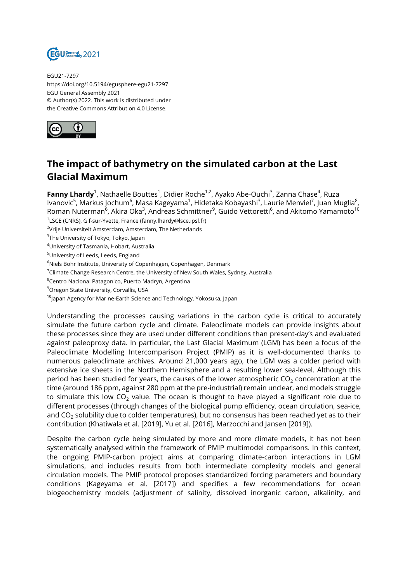

EGU21-7297 https://doi.org/10.5194/egusphere-egu21-7297 EGU General Assembly 2021 © Author(s) 2022. This work is distributed under the Creative Commons Attribution 4.0 License.



## **The impact of bathymetry on the simulated carbon at the Last Glacial Maximum**

**Fanny Lhardy**<sup>1</sup>, Nathaelle Bouttes<sup>1</sup>, Didier Roche<sup>1,2</sup>, Ayako Abe-Ouchi<sup>3</sup>, Zanna Chase<sup>4</sup>, Ruza lvanovic<sup>5</sup>, Markus Jochum<sup>6</sup>, Masa Kageyama<sup>1</sup>, Hidetaka Kobayashi<sup>3</sup>, Laurie Menviel<sup>7</sup>, Juan Muglia<sup>8</sup>, Roman Nuterman $^6$ , Akira Oka $^3$ , Andreas Schmittner $^9$ , Guido Vettoretti $^6$ , and Akitomo Yamamoto $^{10}$ 

1 LSCE (CNRS), Gif-sur-Yvette, France (fanny.lhardy@lsce.ipsl.fr)

<sup>2</sup>Vrije Universiteit Amsterdam, Amsterdam, The Netherlands

 $^3$ The University of Tokyo, Tokyo, Japan

<sup>4</sup>University of Tasmania, Hobart, Australia

<sup>5</sup>University of Leeds, Leeds, England

<sup>6</sup>Niels Bohr Institute, University of Copenhagen, Copenhagen, Denmark

 $7$ Climate Change Research Centre, the University of New South Wales, Sydney, Australia

<sup>8</sup>Centro Nacional Patagonico, Puerto Madryn, Argentina

<sup>9</sup> Oregon State University, Corvallis, USA

<sup>10</sup>Japan Agency for Marine-Earth Science and Technology, Yokosuka, Japan

Understanding the processes causing variations in the carbon cycle is critical to accurately simulate the future carbon cycle and climate. Paleoclimate models can provide insights about these processes since they are used under different conditions than present-day's and evaluated against paleoproxy data. In particular, the Last Glacial Maximum (LGM) has been a focus of the Paleoclimate Modelling Intercomparison Project (PMIP) as it is well-documented thanks to numerous paleoclimate archives. Around 21,000 years ago, the LGM was a colder period with extensive ice sheets in the Northern Hemisphere and a resulting lower sea-level. Although this period has been studied for years, the causes of the lower atmospheric  $CO<sub>2</sub>$  concentration at the time (around 186 ppm, against 280 ppm at the pre-industrial) remain unclear, and models struggle to simulate this low  $CO<sub>2</sub>$  value. The ocean is thought to have played a significant role due to different processes (through changes of the biological pump efficiency, ocean circulation, sea-ice, and  $CO<sub>2</sub>$  solubility due to colder temperatures), but no consensus has been reached yet as to their contribution (Khatiwala et al. [2019], Yu et al. [2016], Marzocchi and Jansen [2019]).

Despite the carbon cycle being simulated by more and more climate models, it has not been systematically analysed within the framework of PMIP multimodel comparisons. In this context, the ongoing PMIP-carbon project aims at comparing climate-carbon interactions in LGM simulations, and includes results from both intermediate complexity models and general circulation models. The PMIP protocol proposes standardized forcing parameters and boundary conditions (Kageyama et al. [2017]) and specifies a few recommendations for ocean biogeochemistry models (adjustment of salinity, dissolved inorganic carbon, alkalinity, and